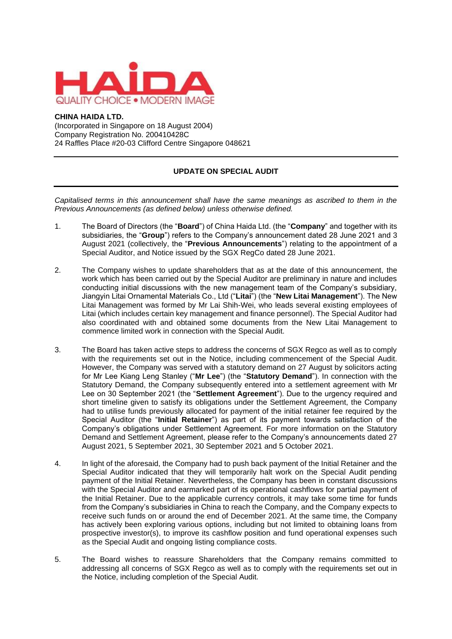

## **CHINA HAIDA LTD.**

(Incorporated in Singapore on 18 August 2004) Company Registration No. 200410428C 24 Raffles Place #20-03 Clifford Centre Singapore 048621

## **UPDATE ON SPECIAL AUDIT**

*Capitalised terms in this announcement shall have the same meanings as ascribed to them in the Previous Announcements (as defined below) unless otherwise defined.*

- 1. The Board of Directors (the "**Board**") of China Haida Ltd. (the "**Company**" and together with its subsidiaries, the "**Group**") refers to the Company's announcement dated 28 June 2021 and 3 August 2021 (collectively, the "**Previous Announcements**") relating to the appointment of a Special Auditor, and Notice issued by the SGX RegCo dated 28 June 2021.
- 2. The Company wishes to update shareholders that as at the date of this announcement, the work which has been carried out by the Special Auditor are preliminary in nature and includes conducting initial discussions with the new management team of the Company's subsidiary, Jiangyin Litai Ornamental Materials Co., Ltd ("**Litai**") (the "**New Litai Management**"). The New Litai Management was formed by Mr Lai Shih-Wei, who leads several existing employees of Litai (which includes certain key management and finance personnel). The Special Auditor had also coordinated with and obtained some documents from the New Litai Management to commence limited work in connection with the Special Audit.
- 3. The Board has taken active steps to address the concerns of SGX Regco as well as to comply with the requirements set out in the Notice, including commencement of the Special Audit. However, the Company was served with a statutory demand on 27 August by solicitors acting for Mr Lee Kiang Leng Stanley ("**Mr Lee**") (the "**Statutory Demand**"). In connection with the Statutory Demand, the Company subsequently entered into a settlement agreement with Mr Lee on 30 September 2021 (the "**Settlement Agreement**"). Due to the urgency required and short timeline given to satisfy its obligations under the Settlement Agreement, the Company had to utilise funds previously allocated for payment of the initial retainer fee required by the Special Auditor (the "**Initial Retainer**") as part of its payment towards satisfaction of the Company's obligations under Settlement Agreement. For more information on the Statutory Demand and Settlement Agreement, please refer to the Company's announcements dated 27 August 2021, 5 September 2021, 30 September 2021 and 5 October 2021.
- 4. In light of the aforesaid, the Company had to push back payment of the Initial Retainer and the Special Auditor indicated that they will temporarily halt work on the Special Audit pending payment of the Initial Retainer. Nevertheless, the Company has been in constant discussions with the Special Auditor and earmarked part of its operational cashflows for partial payment of the Initial Retainer. Due to the applicable currency controls, it may take some time for funds from the Company's subsidiaries in China to reach the Company, and the Company expects to receive such funds on or around the end of December 2021. At the same time, the Company has actively been exploring various options, including but not limited to obtaining loans from prospective investor(s), to improve its cashflow position and fund operational expenses such as the Special Audit and ongoing listing compliance costs.
- 5. The Board wishes to reassure Shareholders that the Company remains committed to addressing all concerns of SGX Regco as well as to comply with the requirements set out in the Notice, including completion of the Special Audit.